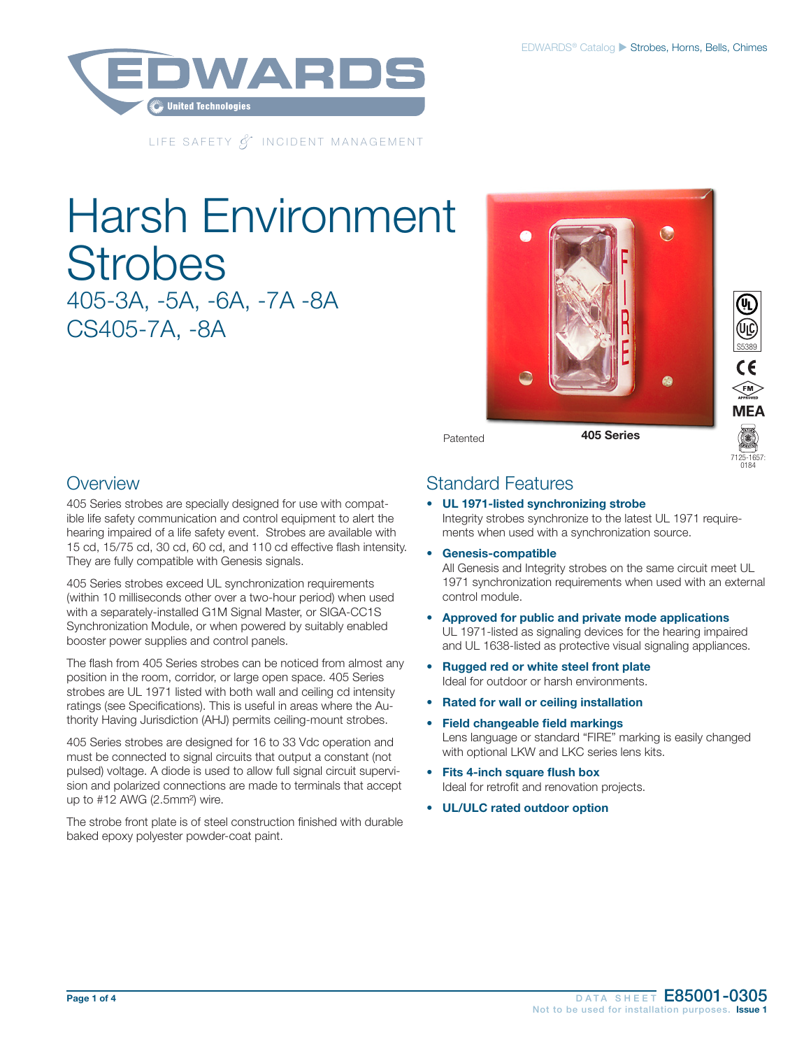

LIFE SAFETY *&* INCIDENT MANAGEMENT

# Harsh Environment **Strobes** 405-3A, -5A, -6A, -7A -8A



Patented

### **Overview**

CS405-7A, -8A

405 Series strobes are specially designed for use with compatible life safety communication and control equipment to alert the hearing impaired of a life safety event. Strobes are available with 15 cd, 15/75 cd, 30 cd, 60 cd, and 110 cd effective flash intensity. They are fully compatible with Genesis signals.

405 Series strobes exceed UL synchronization requirements (within 10 milliseconds other over a two-hour period) when used with a separately-installed G1M Signal Master, or SIGA-CC1S Synchronization Module, or when powered by suitably enabled booster power supplies and control panels.

The flash from 405 Series strobes can be noticed from almost any position in the room, corridor, or large open space. 405 Series strobes are UL 1971 listed with both wall and ceiling cd intensity ratings (see Specifications). This is useful in areas where the Authority Having Jurisdiction (AHJ) permits ceiling-mount strobes.

405 Series strobes are designed for 16 to 33 Vdc operation and must be connected to signal circuits that output a constant (not pulsed) voltage. A diode is used to allow full signal circuit supervision and polarized connections are made to terminals that accept up to #12 AWG (2.5mm²) wire.

The strobe front plate is of steel construction finished with durable baked epoxy polyester powder-coat paint.

### Standard Features

### • UL 1971-listed synchronizing strobe Integrity strobes synchronize to the latest UL 1971 require-

ments when used with a synchronization source.

• Genesis-compatible

All Genesis and Integrity strobes on the same circuit meet UL 1971 synchronization requirements when used with an external control module.

7125-1657: 0184

S5389

 $\epsilon$  $\widehat{F}$ M **MEA** 

- Approved for public and private mode applications UL 1971-listed as signaling devices for the hearing impaired and UL 1638-listed as protective visual signaling appliances.
- Rugged red or white steel front plate Ideal for outdoor or harsh environments.
- Rated for wall or ceiling installation
- Field changeable field markings Lens language or standard "FIRE" marking is easily changed with optional LKW and LKC series lens kits.
- Fits 4-inch square flush box Ideal for retrofit and renovation projects.
- UL/ULC rated outdoor option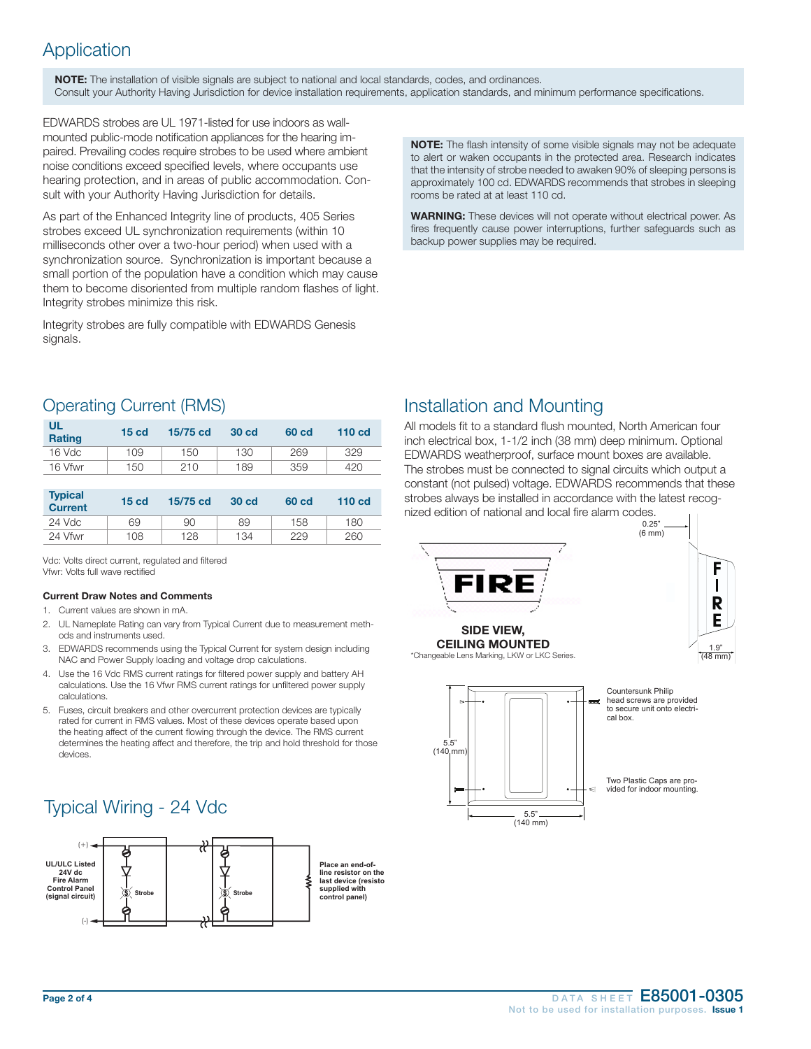## Application

NOTE: The installation of visible signals are subject to national and local standards, codes, and ordinances. Consult your Authority Having Jurisdiction for device installation requirements, application standards, and minimum performance specifications.

EDWARDS strobes are UL 1971-listed for use indoors as wallmounted public-mode notification appliances for the hearing impaired. Prevailing codes require strobes to be used where ambient noise conditions exceed specified levels, where occupants use hearing protection, and in areas of public accommodation. Consult with your Authority Having Jurisdiction for details.

As part of the Enhanced Integrity line of products, 405 Series strobes exceed UL synchronization requirements (within 10 milliseconds other over a two-hour period) when used with a synchronization source. Synchronization is important because a small portion of the population have a condition which may cause them to become disoriented from multiple random flashes of light. Integrity strobes minimize this risk.

Integrity strobes are fully compatible with EDWARDS Genesis signals.

NOTE: The flash intensity of some visible signals may not be adequate to alert or waken occupants in the protected area. Research indicates that the intensity of strobe needed to awaken 90% of sleeping persons is approximately 100 cd. EDWARDS recommends that strobes in sleeping rooms be rated at at least 110 cd.

WARNING: These devices will not operate without electrical power. As fires frequently cause power interruptions, further safeguards such as backup power supplies may be required.

### Operating Current (RMS)

| UL<br><b>Rating</b> | 15 <sub>cd</sub> | 15/75 cd | 30 cd | 60 cd | 110 <sub>cd</sub> |
|---------------------|------------------|----------|-------|-------|-------------------|
| 16 Vdc              | 109              | 150      | 130   | 269   | 329               |
| 16 Vfwr             | 150              | 210      | 189   | 359   | 420               |

| <b>Typical</b><br><b>Current</b> | 15 <sub>cd</sub> | 15/75 cd | <b>30 cd</b> | 60 cd | 110 <sub>cd</sub> |
|----------------------------------|------------------|----------|--------------|-------|-------------------|
| $24$ Vdc                         | 69               | 90       | 89           | 158   | 180               |
| 24 Vfwr                          | 108              | 128      | 134          | 229   | 260               |

Vdc: Volts direct current, regulated and filtered Vfwr: Volts full wave rectified

#### Current Draw Notes and Comments

- 1. Current values are shown in mA.
- 2. UL Nameplate Rating can vary from Typical Current due to measurement methods and instruments used.
- 3. EDWARDS recommends using the Typical Current for system design including NAC and Power Supply loading and voltage drop calculations.
- 4. Use the 16 Vdc RMS current ratings for filtered power supply and battery AH calculations. Use the 16 Vfwr RMS current ratings for unfiltered power supply calculations.
- 5. Fuses, circuit breakers and other overcurrent protection devices are typically rated for current in RMS values. Most of these devices operate based upon the heating affect of the current flowing through the device. The RMS current determines the heating affect and therefore, the trip and hold threshold for those devices.

# Typical Wiring - 24 Vdc



### Installation and Mounting

All models fit to a standard flush mounted, North American four inch electrical box, 1-1/2 inch (38 mm) deep minimum. Optional EDWARDS weatherproof, surface mount boxes are available. The strobes must be connected to signal circuits which output a constant (not pulsed) voltage. EDWARDS recommends that these strobes always be installed in accordance with the latest recognized edition of national and local fire alarm codes.

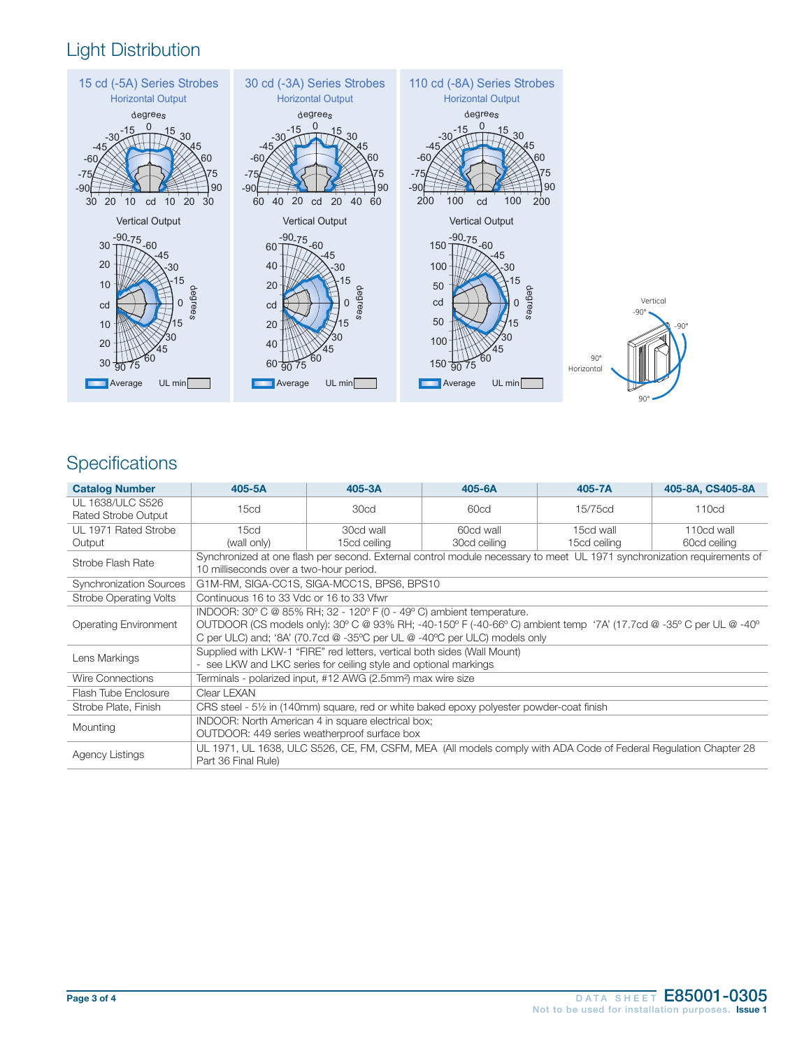# Light Distribution



# **Specifications**

| <b>Catalog Number</b>                          | 405-5A                                                                                                                                                                                                                                                                                | 405-3A                    | 405-6A                    | $405 - 7A$                | 405-8A, CS405-8A           |
|------------------------------------------------|---------------------------------------------------------------------------------------------------------------------------------------------------------------------------------------------------------------------------------------------------------------------------------------|---------------------------|---------------------------|---------------------------|----------------------------|
| UL 1638/ULC S526<br><b>Rated Strobe Output</b> | 15 <sub>cd</sub>                                                                                                                                                                                                                                                                      | 30cd                      | 60cd                      | 15/75cd                   | 110cd                      |
| UL 1971 Rated Strobe<br>Output                 | 15 <sub>cd</sub><br>(wall only)                                                                                                                                                                                                                                                       | 30cd wall<br>15cd ceiling | 60cd wall<br>30cd ceiling | 15cd wall<br>15cd ceiling | 110cd wall<br>60cd ceiling |
| Strobe Flash Rate                              | Synchronized at one flash per second. External control module necessary to meet UL 1971 synchronization requirements of<br>10 milliseconds over a two-hour period.                                                                                                                    |                           |                           |                           |                            |
| <b>Synchronization Sources</b>                 | G1M-RM, SIGA-CC1S, SIGA-MCC1S, BPS6, BPS10                                                                                                                                                                                                                                            |                           |                           |                           |                            |
| <b>Strobe Operating Volts</b>                  | Continuous 16 to 33 Vdc or 16 to 33 Vfwr                                                                                                                                                                                                                                              |                           |                           |                           |                            |
| <b>Operating Environment</b>                   | INDOOR: 30° C @ 85% RH; 32 - 120° F (0 - 49° C) ambient temperature.<br>OUTDOOR (CS models only): 30° C @ 93% RH; -40-150° F (-40-66° C) ambient temp '7A' (17.7cd @ -35° C per UL @ -40°<br>C per ULC) and; '8A' (70.7cd $@-35^{\circ}C$ per UL $@-40^{\circ}C$ per ULC) models only |                           |                           |                           |                            |
| Lens Markings                                  | Supplied with LKW-1 "FIRE" red letters, vertical both sides (Wall Mount)<br>- see LKW and LKC series for ceiling style and optional markings                                                                                                                                          |                           |                           |                           |                            |
| <b>Wire Connections</b>                        | Terminals - polarized input, #12 AWG (2.5mm <sup>2</sup> ) max wire size                                                                                                                                                                                                              |                           |                           |                           |                            |
| Flash Tube Enclosure                           | Clear LEXAN                                                                                                                                                                                                                                                                           |                           |                           |                           |                            |
| Strobe Plate, Finish                           | CRS steel - 5½ in (140mm) square, red or white baked epoxy polyester powder-coat finish                                                                                                                                                                                               |                           |                           |                           |                            |
| Mounting                                       | INDOOR: North American 4 in square electrical box;<br>OUTDOOR: 449 series weatherproof surface box                                                                                                                                                                                    |                           |                           |                           |                            |
| <b>Agency Listings</b>                         | UL 1971, UL 1638, ULC S526, CE, FM, CSFM, MEA (All models comply with ADA Code of Federal Regulation Chapter 28<br>Part 36 Final Rule)                                                                                                                                                |                           |                           |                           |                            |

 $90^\circ$ 

-90°